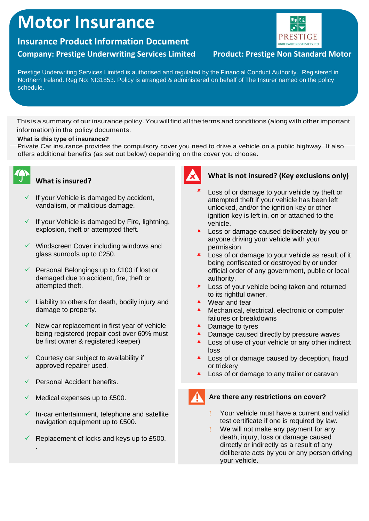# **Motor Insurance**

# **Insurance Product Information Document**

# **Company: Prestige Underwriting Services Limited Product: Prestige Non Standard Motor**

# UNDERWRITING SERVICES LTD

Prestige Underwriting Services Limited is authorised and regulated by the Financial Conduct Authority. Registered in Northern Ireland. Reg No: NI31853. Policy is arranged & administered on behalf of The Insurer named on the policy schedule.

This is a summary of our insurance policy. You will find all the terms and conditions (along with other important information) in the policy documents.

#### **What is this type of insurance?**

Private Car insurance provides the compulsory cover you need to drive a vehicle on a public highway. It also offers additional benefits (as set out below) depending on the cover you choose.



# **What is insured?**

- $\checkmark$  If your Vehicle is damaged by accident, vandalism, or malicious damage.
- $\checkmark$  If your Vehicle is damaged by Fire, lightning, explosion, theft or attempted theft.
- ✓ Windscreen Cover including windows and glass sunroofs up to £250.
- $\checkmark$  Personal Belongings up to £100 if lost or damaged due to accident, fire, theft or attempted theft.
- $\checkmark$  Liability to others for death, bodily injury and damage to property.
- $\checkmark$  New car replacement in first year of vehicle being registered (repair cost over 60% must be first owner & registered keeper)
- $\checkmark$  Courtesy car subject to availability if approved repairer used.
- $\checkmark$  Personal Accident benefits.

.

- Medical expenses up to £500.
- In-car entertainment, telephone and satellite navigation equipment up to £500.
- Replacement of locks and keys up to £500.



# **What is not insured? (Key exclusions only)**

- × Loss of or damage to your vehicle by theft or attempted theft if your vehicle has been left unlocked, and/or the ignition key or other ignition key is left in, on or attached to the vehicle.
- **x** Loss or damage caused deliberately by you or anyone driving your vehicle with your permission
- **x** Loss of or damage to your vehicle as result of it being confiscated or destroyed by or under official order of any government, public or local authority.
- **x** Loss of your vehicle being taken and returned to its rightful owner.
- Wear and tear
- Mechanical, electrical, electronic or computer failures or breakdowns
- **\*** Damage to tyres
- **x** Damage caused directly by pressure waves
- **x** Loss of use of your vehicle or any other indirect loss
- **\*** Loss of or damage caused by deception, fraud or trickery
- **x** Loss of or damage to any trailer or caravan

# **Are there any restrictions on cover?**

- Your vehicle must have a current and valid test certificate if one is required by law.
- We will not make any payment for any death, injury, loss or damage caused directly or indirectly as a result of any deliberate acts by you or any person driving your vehicle.